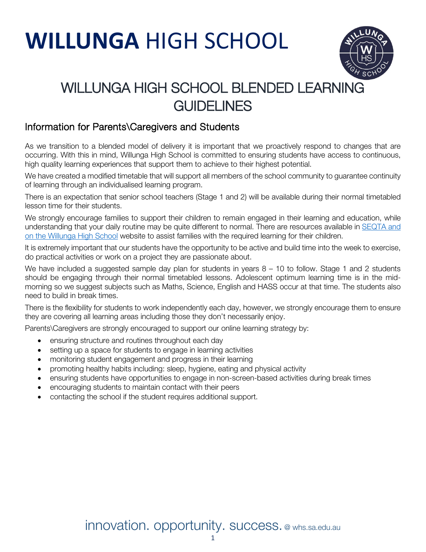

## WILLUNGA HIGH SCHOOL BLENDED LEARNING **GUIDELINES**

### Information for Parents\Caregivers and Students

As we transition to a blended model of delivery it is important that we proactively respond to changes that are occurring. With this in mind, Willunga High School is committed to ensuring students have access to continuous, high quality learning experiences that support them to achieve to their highest potential.

We have created a modified timetable that will support all members of the school community to guarantee continuity of learning through an individualised learning program.

There is an expectation that senior school teachers (Stage 1 and 2) will be available during their normal timetabled lesson time for their students.

We strongly encourage families to support their children to remain engaged in their learning and education, while understanding that your daily routine may be quite different to normal. There are resources available in [SEQTA and](https://www.whs.sa.edu.au/seqta/)  [on the Willunga High School](https://www.whs.sa.edu.au/seqta/) website to assist families with the required learning for their children.

It is extremely important that our students have the opportunity to be active and build time into the week to exercise, do practical activities or work on a project they are passionate about.

We have included a suggested sample day plan for students in years  $8 - 10$  to follow. Stage 1 and 2 students should be engaging through their normal timetabled lessons. Adolescent optimum learning time is in the midmorning so we suggest subjects such as Maths, Science, English and HASS occur at that time. The students also need to build in break times.

There is the flexibility for students to work independently each day, however, we strongly encourage them to ensure they are covering all learning areas including those they don't necessarily enjoy.

Parents\Caregivers are strongly encouraged to support our online learning strategy by:

- ensuring structure and routines throughout each day
- setting up a space for students to engage in learning activities
- monitoring student engagement and progress in their learning
- promoting healthy habits including: sleep, hygiene, eating and physical activity
- ensuring students have opportunities to engage in non-screen-based activities during break times
- encouraging students to maintain contact with their peers
- contacting the school if the student requires additional support.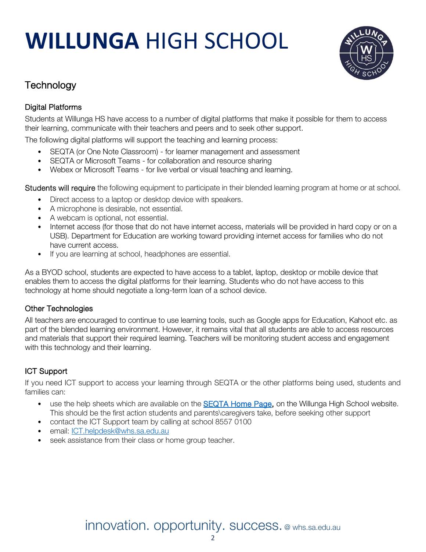

### **Technology**

#### Digital Platforms

Students at Willunga HS have access to a number of digital platforms that make it possible for them to access their learning, communicate with their teachers and peers and to seek other support.

The following digital platforms will support the teaching and learning process:

- SEQTA (or One Note Classroom) for learner management and assessment
- SEQTA or Microsoft Teams for collaboration and resource sharing
- Webex or Microsoft Teams for live verbal or visual teaching and learning.

Students will require the following equipment to participate in their blended learning program at home or at school.

- Direct access to a laptop or desktop device with speakers.
- A microphone is desirable, not essential.
- A webcam is optional, not essential.
- Internet access (for those that do not have internet access, materials will be provided in hard copy or on a USB). Department for Education are working toward providing internet access for families who do not have current access.
- If you are learning at school, headphones are essential.

As a BYOD school, students are expected to have access to a tablet, laptop, desktop or mobile device that enables them to access the digital platforms for their learning. Students who do not have access to this technology at home should negotiate a long-term loan of a school device.

#### Other Technologies

All teachers are encouraged to continue to use learning tools, such as Google apps for Education, Kahoot etc. as part of the blended learning environment. However, it remains vital that all students are able to access resources and materials that support their required learning. Teachers will be monitoring student access and engagement with this technology and their learning.

#### ICT Support

If you need ICT support to access your learning through SEQTA or the other platforms being used, students and families can:

- use the help sheets which are available on the [SEQTA Home Page,](https://www.whs.sa.edu.au/seqta/) on the Willunga High School website. This should be the first action students and parents\caregivers take, before seeking other support
- contact the ICT Support team by calling at school 8557 0100
- email: *ICT.helpdesk@whs.sa.edu.au*
- seek assistance from their class or home group teacher.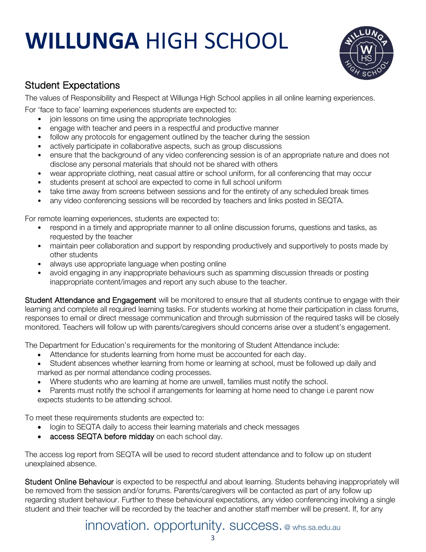

### Student Expectations

The values of Responsibility and Respect at Willunga High School applies in all online learning experiences.

For 'face to face' learning experiences students are expected to:

- join lessons on time using the appropriate technologies
- engage with teacher and peers in a respectful and productive manner
- follow any protocols for engagement outlined by the teacher during the session
- actively participate in collaborative aspects, such as group discussions
- ensure that the background of any video conferencing session is of an appropriate nature and does not disclose any personal materials that should not be shared with others
- wear appropriate clothing, neat casual attire or school uniform, for all conferencing that may occur
- students present at school are expected to come in full school uniform
- take time away from screens between sessions and for the entirety of any scheduled break times
- any video conferencing sessions will be recorded by teachers and links posted in SEQTA.

For remote learning experiences, students are expected to:

- respond in a timely and appropriate manner to all online discussion forums, questions and tasks, as requested by the teacher
- maintain peer collaboration and support by responding productively and supportively to posts made by other students
- always use appropriate language when posting online
- avoid engaging in any inappropriate behaviours such as spamming discussion threads or posting inappropriate content/images and report any such abuse to the teacher.

Student Attendance and Engagement will be monitored to ensure that all students continue to engage with their learning and complete all required learning tasks. For students working at home their participation in class forums, responses to email or direct message communication and through submission of the required tasks will be closely monitored. Teachers will follow up with parents/caregivers should concerns arise over a student's engagement.

The Department for Education's requirements for the monitoring of Student Attendance include:

- Attendance for students learning from home must be accounted for each day.
- Student absences whether learning from home or learning at school, must be followed up daily and marked as per normal attendance coding processes.
- Where students who are learning at home are unwell, families must notify the school.
- Parents must notify the school if arrangements for learning at home need to change i.e parent now expects students to be attending school.

To meet these requirements students are expected to:

- login to SEQTA daily to access their learning materials and check messages
- access SEQTA before midday on each school day.

The access log report from SEQTA will be used to record student attendance and to follow up on student unexplained absence.

Student Online Behaviour is expected to be respectful and about learning. Students behaving inappropriately will be removed from the session and/or forums. Parents/caregivers will be contacted as part of any follow up regarding student behaviour. Further to these behavioural expectations, any video conferencing involving a single student and their teacher will be recorded by the teacher and another staff member will be present. If, for any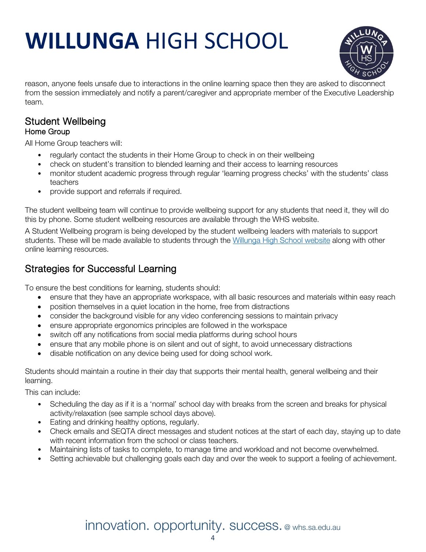

reason, anyone feels unsafe due to interactions in the online learning space then they are asked to disconnect from the session immediately and notify a parent/caregiver and appropriate member of the Executive Leadership team.

## Student Wellbeing Home Group

All Home Group teachers will:

- regularly contact the students in their Home Group to check in on their wellbeing
- check on student's transition to blended learning and their access to learning resources
- monitor student academic progress through regular 'learning progress checks' with the students' class teachers
- provide support and referrals if required.

The student wellbeing team will continue to provide wellbeing support for any students that need it, they will do this by phone. Some student wellbeing resources are available through the WHS website.

A Student Wellbeing program is being developed by the student wellbeing leaders with materials to support students. These will be made available to students through the [Willunga High School website](https://www.whs.sa.edu.au/seqta/) along with other online learning resources.

### Strategies for Successful Learning

To ensure the best conditions for learning, students should:

- ensure that they have an appropriate workspace, with all basic resources and materials within easy reach
- position themselves in a quiet location in the home, free from distractions
- consider the background visible for any video conferencing sessions to maintain privacy
- ensure appropriate ergonomics principles are followed in the workspace
- switch off any notifications from social media platforms during school hours
- ensure that any mobile phone is on silent and out of sight, to avoid unnecessary distractions
- disable notification on any device being used for doing school work.

Students should maintain a routine in their day that supports their mental health, general wellbeing and their learning.

This can include:

- Scheduling the day as if it is a 'normal' school day with breaks from the screen and breaks for physical activity/relaxation (see sample school days above).
- Eating and drinking healthy options, regularly.
- Check emails and SEQTA direct messages and student notices at the start of each day, staying up to date with recent information from the school or class teachers.
- Maintaining lists of tasks to complete, to manage time and workload and not become overwhelmed.
- Setting achievable but challenging goals each day and over the week to support a feeling of achievement.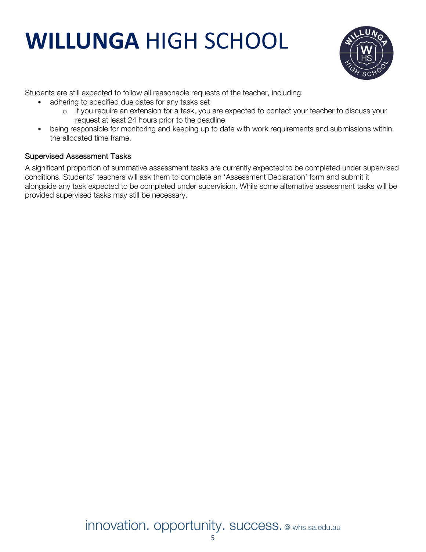

Students are still expected to follow all reasonable requests of the teacher, including:

- adhering to specified due dates for any tasks set
	- o If you require an extension for a task, you are expected to contact your teacher to discuss your request at least 24 hours prior to the deadline
- being responsible for monitoring and keeping up to date with work requirements and submissions within the allocated time frame.

#### Supervised Assessment Tasks

A significant proportion of summative assessment tasks are currently expected to be completed under supervised conditions. Students' teachers will ask them to complete an 'Assessment Declaration' form and submit it alongside any task expected to be completed under supervision. While some alternative assessment tasks will be provided supervised tasks may still be necessary.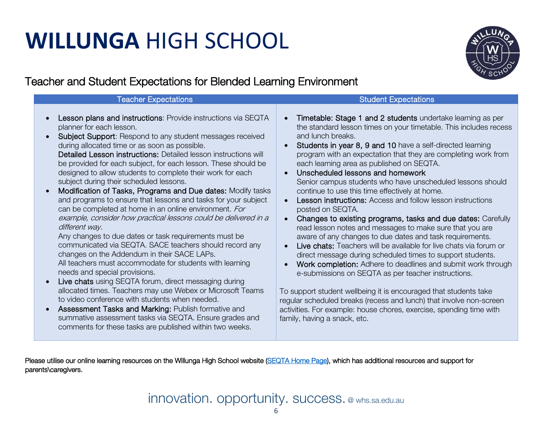

### Teacher and Student Expectations for Blended Learning Environment

| Lesson plans and instructions: Provide instructions via SEQTA<br>Timetable: Stage 1 and 2 students undertake learning as per<br>planner for each lesson.                                                                                                                                                                                                                                                                                                                                                                                                                                                                                                                                                                                                                                                                                                                                                                                                                                                                                                                                                                                                                                                                                                                                                                                                                                                                                                                                                                                                                                                                                                                                                                                                                                                                                                                                                                                                                                                                                                                                                      | <b>Teacher Expectations</b>                               | <b>Student Expectations</b>                                                                                                                                                                                                                                                                                                                            |
|---------------------------------------------------------------------------------------------------------------------------------------------------------------------------------------------------------------------------------------------------------------------------------------------------------------------------------------------------------------------------------------------------------------------------------------------------------------------------------------------------------------------------------------------------------------------------------------------------------------------------------------------------------------------------------------------------------------------------------------------------------------------------------------------------------------------------------------------------------------------------------------------------------------------------------------------------------------------------------------------------------------------------------------------------------------------------------------------------------------------------------------------------------------------------------------------------------------------------------------------------------------------------------------------------------------------------------------------------------------------------------------------------------------------------------------------------------------------------------------------------------------------------------------------------------------------------------------------------------------------------------------------------------------------------------------------------------------------------------------------------------------------------------------------------------------------------------------------------------------------------------------------------------------------------------------------------------------------------------------------------------------------------------------------------------------------------------------------------------------|-----------------------------------------------------------|--------------------------------------------------------------------------------------------------------------------------------------------------------------------------------------------------------------------------------------------------------------------------------------------------------------------------------------------------------|
| Students in year 8, 9 and 10 have a self-directed learning<br>during allocated time or as soon as possible.<br>$\bullet$<br>Detailed Lesson instructions: Detailed lesson instructions will<br>each learning area as published on SEQTA.<br>be provided for each subject, for each lesson. These should be<br>designed to allow students to complete their work for each<br>Unscheduled lessons and homework<br>$\bullet$<br>subject during their scheduled lessons.<br>Modification of Tasks, Programs and Due dates: Modify tasks<br>continue to use this time effectively at home.<br>and programs to ensure that lessons and tasks for your subject<br><b>Lesson instructions:</b> Access and follow lesson instructions<br>$\bullet$<br>can be completed at home in an online environment. For<br>posted on SEQTA.<br>example, consider how practical lessons could be delivered in a<br>$\bullet$<br>different way.<br>read lesson notes and messages to make sure that you are<br>Any changes to due dates or task requirements must be<br>aware of any changes to due dates and task requirements.<br>communicated via SEQTA. SACE teachers should record any<br>Live chats: Teachers will be available for live chats via forum or<br>$\bullet$<br>changes on the Addendum in their SACE LAPs.<br>direct message during scheduled times to support students.<br>All teachers must accommodate for students with learning<br>$\bullet$<br>needs and special provisions.<br>e-submissions on SEQTA as per teacher instructions.<br>Live chats using SEQTA forum, direct messaging during<br>$\bullet$<br>allocated times. Teachers may use Webex or Microsoft Teams<br>To support student wellbeing it is encouraged that students take<br>to video conference with students when needed.<br>regular scheduled breaks (recess and lunch) that involve non-screen<br>Assessment Tasks and Marking: Publish formative and<br>activities. For example: house chores, exercise, spending time with<br>$\bullet$<br>summative assessment tasks via SEQTA. Ensure grades and<br>family, having a snack, etc. | Subject Support: Respond to any student messages received | the standard lesson times on your timetable. This includes recess<br>and lunch breaks.<br>program with an expectation that they are completing work from<br>Senior campus students who have unscheduled lessons should<br>Changes to existing programs, tasks and due dates: Carefully<br>Work completion: Adhere to deadlines and submit work through |

Please utilise our online learning resources on the Willunga High School website [\(SEQTA Home Page\)](https://www.whs.sa.edu.au/seqta/), which has additional resources and support for parents\caregivers.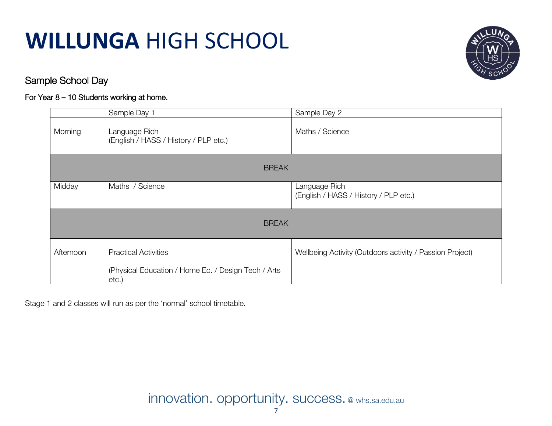

### Sample School Day

### For Year 8 – 10 Students working at home.

|              | Sample Day 1                                                    | Sample Day 2                                             |
|--------------|-----------------------------------------------------------------|----------------------------------------------------------|
| Morning      | Language Rich<br>(English / HASS / History / PLP etc.)          | Maths / Science                                          |
| <b>BREAK</b> |                                                                 |                                                          |
| Midday       | Maths / Science                                                 | Language Rich<br>(English / HASS / History / PLP etc.)   |
| <b>BREAK</b> |                                                                 |                                                          |
| Afternoon    | <b>Practical Activities</b>                                     | Wellbeing Activity (Outdoors activity / Passion Project) |
|              | (Physical Education / Home Ec. / Design Tech / Arts<br>$etc.$ ) |                                                          |

Stage 1 and 2 classes will run as per the 'normal' school timetable.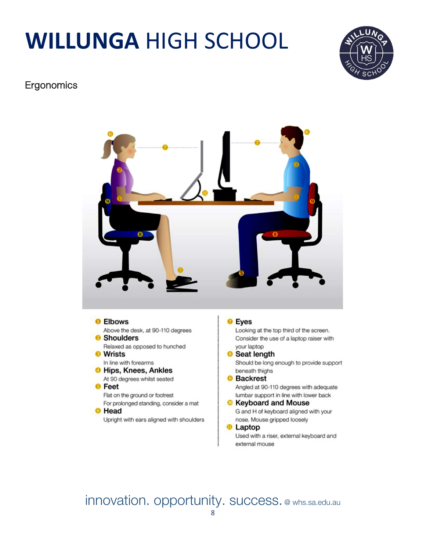

### **Ergonomics**



#### *O* Laptop

Used with a riser, external keyboard and external mouse